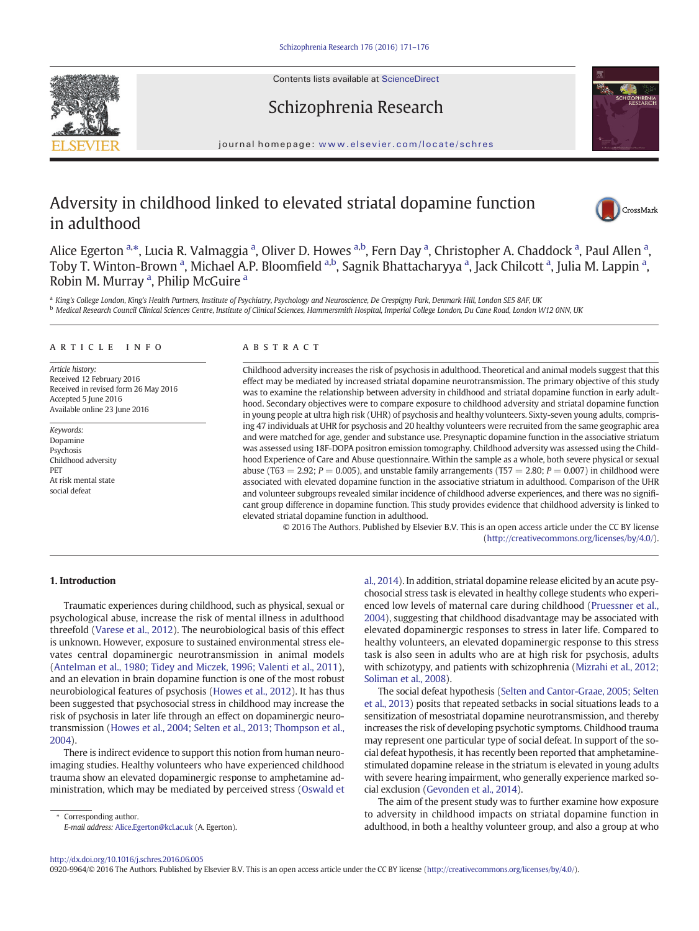Contents lists available at ScienceDirect





# Schizophrenia Research

journal homepage: <www.elsevier.com/locate/schres>

# Adversity in childhood linked to elevated striatal dopamine function in adulthood



Alice Egerton <sup>a,</sup>\*, Lucia R. Valmaggia <sup>a</sup>, Oliver D. Howes <sup>a,b</sup>, Fern Day <sup>a</sup>, Christopher A. Chaddock <sup>a</sup>, Paul Allen <sup>a</sup>, Toby T. Winton-Brown <sup>a</sup>, Michael A.P. Bloomfield <sup>a,b</sup>, Sagnik Bhattacharyya <sup>a</sup>, Jack Chilcott <sup>a</sup>, Julia M. Lappin <sup>a</sup>, Robin M. Murray<sup>a</sup>, Philip McGuire<sup>a</sup>

<sup>a</sup> King's College London, King's Health Partners, Institute of Psychiatry, Psychology and Neuroscience, De Crespigny Park, Denmark Hill, London SE5 8AF, UK **b** Medical Research Council Clinical Sciences Centre, Institute of Clinical Sciences, Hammersmith Hospital, Imperial College London, Du Cane Road, London W12 ONN, UK

# article info abstract

Article history: Received 12 February 2016 Received in revised form 26 May 2016 Accepted 5 June 2016 Available online 23 June 2016

Keywords: Dopamine Psychosis Childhood adversity PET At risk mental state social defeat

Childhood adversity increases the risk of psychosis in adulthood. Theoretical and animal models suggest that this effect may be mediated by increased striatal dopamine neurotransmission. The primary objective of this study was to examine the relationship between adversity in childhood and striatal dopamine function in early adulthood. Secondary objectives were to compare exposure to childhood adversity and striatal dopamine function in young people at ultra high risk (UHR) of psychosis and healthy volunteers. Sixty-seven young adults, comprising 47 individuals at UHR for psychosis and 20 healthy volunteers were recruited from the same geographic area and were matched for age, gender and substance use. Presynaptic dopamine function in the associative striatum was assessed using 18F-DOPA positron emission tomography. Childhood adversity was assessed using the Childhood Experience of Care and Abuse questionnaire. Within the sample as a whole, both severe physical or sexual abuse (T63 = 2.92;  $P = 0.005$ ), and unstable family arrangements (T57 = 2.80;  $P = 0.007$ ) in childhood were associated with elevated dopamine function in the associative striatum in adulthood. Comparison of the UHR and volunteer subgroups revealed similar incidence of childhood adverse experiences, and there was no significant group difference in dopamine function. This study provides evidence that childhood adversity is linked to elevated striatal dopamine function in adulthood.

© 2016 The Authors. Published by Elsevier B.V. This is an open access article under the CC BY license [\(http://creativecommons.org/licenses/by/4.0/\)](http://creativecommons.org/licenses/by/4.0/).

# 1. Introduction

Traumatic experiences during childhood, such as physical, sexual or psychological abuse, increase the risk of mental illness in adulthood threefold [\(Varese et al., 2012](#page-5-0)). The neurobiological basis of this effect is unknown. However, exposure to sustained environmental stress elevates central dopaminergic neurotransmission in animal models [\(Antelman et al., 1980; Tidey and Miczek, 1996; Valenti et al., 2011](#page-4-0)), and an elevation in brain dopamine function is one of the most robust neurobiological features of psychosis ([Howes et al., 2012](#page-5-0)). It has thus been suggested that psychosocial stress in childhood may increase the risk of psychosis in later life through an effect on dopaminergic neurotransmission [\(Howes et al., 2004; Selten et al., 2013; Thompson et al.,](#page-5-0) [2004](#page-5-0)).

There is indirect evidence to support this notion from human neuroimaging studies. Healthy volunteers who have experienced childhood trauma show an elevated dopaminergic response to amphetamine administration, which may be mediated by perceived stress [\(Oswald et](#page-5-0)

Corresponding author. E-mail address: [Alice.Egerton@kcl.ac.uk](mailto:Alice.Egerton@kcl.ac.uk) (A. Egerton). [al., 2014\)](#page-5-0). In addition, striatal dopamine release elicited by an acute psychosocial stress task is elevated in healthy college students who experienced low levels of maternal care during childhood [\(Pruessner et al.,](#page-5-0) [2004](#page-5-0)), suggesting that childhood disadvantage may be associated with elevated dopaminergic responses to stress in later life. Compared to healthy volunteers, an elevated dopaminergic response to this stress task is also seen in adults who are at high risk for psychosis, adults with schizotypy, and patients with schizophrenia ([Mizrahi et al., 2012;](#page-5-0) [Soliman et al., 2008\)](#page-5-0).

The social defeat hypothesis [\(Selten and Cantor-Graae, 2005; Selten](#page-5-0) [et al., 2013](#page-5-0)) posits that repeated setbacks in social situations leads to a sensitization of mesostriatal dopamine neurotransmission, and thereby increases the risk of developing psychotic symptoms. Childhood trauma may represent one particular type of social defeat. In support of the social defeat hypothesis, it has recently been reported that amphetaminestimulated dopamine release in the striatum is elevated in young adults with severe hearing impairment, who generally experience marked social exclusion ([Gevonden et al., 2014\)](#page-4-0).

The aim of the present study was to further examine how exposure to adversity in childhood impacts on striatal dopamine function in adulthood, in both a healthy volunteer group, and also a group at who

<http://dx.doi.org/10.1016/j.schres.2016.06.005>

0920-9964/© 2016 The Authors. Published by Elsevier B.V. This is an open access article under the CC BY license [\(http://creativecommons.org/licenses/by/4.0/](http://creativecommons.org/licenses/by/4.0/)).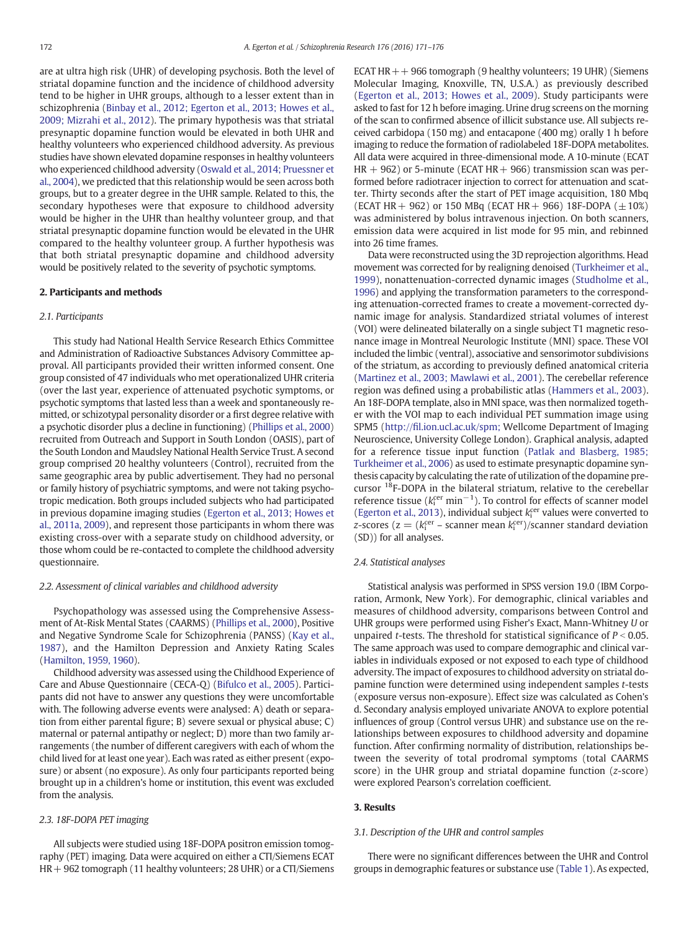are at ultra high risk (UHR) of developing psychosis. Both the level of striatal dopamine function and the incidence of childhood adversity tend to be higher in UHR groups, although to a lesser extent than in schizophrenia ([Binbay et al., 2012; Egerton et al., 2013; Howes et al.,](#page-4-0) [2009; Mizrahi et al., 2012](#page-4-0)). The primary hypothesis was that striatal presynaptic dopamine function would be elevated in both UHR and healthy volunteers who experienced childhood adversity. As previous studies have shown elevated dopamine responses in healthy volunteers who experienced childhood adversity [\(Oswald et al., 2014; Pruessner et](#page-5-0) [al., 2004\)](#page-5-0), we predicted that this relationship would be seen across both groups, but to a greater degree in the UHR sample. Related to this, the secondary hypotheses were that exposure to childhood adversity would be higher in the UHR than healthy volunteer group, and that striatal presynaptic dopamine function would be elevated in the UHR compared to the healthy volunteer group. A further hypothesis was that both striatal presynaptic dopamine and childhood adversity would be positively related to the severity of psychotic symptoms.

# 2. Participants and methods

# 2.1. Participants

This study had National Health Service Research Ethics Committee and Administration of Radioactive Substances Advisory Committee approval. All participants provided their written informed consent. One group consisted of 47 individuals who met operationalized UHR criteria (over the last year, experience of attenuated psychotic symptoms, or psychotic symptoms that lasted less than a week and spontaneously remitted, or schizotypal personality disorder or a first degree relative with a psychotic disorder plus a decline in functioning) [\(Phillips et al., 2000](#page-5-0)) recruited from Outreach and Support in South London (OASIS), part of the South London and Maudsley National Health Service Trust. A second group comprised 20 healthy volunteers (Control), recruited from the same geographic area by public advertisement. They had no personal or family history of psychiatric symptoms, and were not taking psychotropic medication. Both groups included subjects who had participated in previous dopamine imaging studies ([Egerton et al., 2013; Howes et](#page-4-0) [al., 2011a, 2009\)](#page-4-0), and represent those participants in whom there was existing cross-over with a separate study on childhood adversity, or those whom could be re-contacted to complete the childhood adversity questionnaire.

#### 2.2. Assessment of clinical variables and childhood adversity

Psychopathology was assessed using the Comprehensive Assessment of At-Risk Mental States (CAARMS) [\(Phillips et al., 2000](#page-5-0)), Positive and Negative Syndrome Scale for Schizophrenia (PANSS) [\(Kay et al.,](#page-5-0) [1987](#page-5-0)), and the Hamilton Depression and Anxiety Rating Scales [\(Hamilton, 1959, 1960\)](#page-4-0).

Childhood adversity was assessed using the Childhood Experience of Care and Abuse Questionnaire (CECA-Q) [\(Bifulco et al., 2005](#page-4-0)). Participants did not have to answer any questions they were uncomfortable with. The following adverse events were analysed: A) death or separation from either parental figure; B) severe sexual or physical abuse; C) maternal or paternal antipathy or neglect; D) more than two family arrangements (the number of different caregivers with each of whom the child lived for at least one year). Each was rated as either present (exposure) or absent (no exposure). As only four participants reported being brought up in a children's home or institution, this event was excluded from the analysis.

# 2.3. 18F-DOPA PET imaging

All subjects were studied using 18F-DOPA positron emission tomography (PET) imaging. Data were acquired on either a CTI/Siemens ECAT HR+ 962 tomograph (11 healthy volunteers; 28 UHR) or a CTI/Siemens ECAT HR  $++$  966 tomograph (9 healthy volunteers; 19 UHR) (Siemens Molecular Imaging, Knoxville, TN, U.S.A.) as previously described [\(Egerton et al., 2013; Howes et al., 2009\)](#page-4-0). Study participants were asked to fast for 12 h before imaging. Urine drug screens on the morning of the scan to confirmed absence of illicit substance use. All subjects received carbidopa (150 mg) and entacapone (400 mg) orally 1 h before imaging to reduce the formation of radiolabeled 18F-DOPA metabolites. All data were acquired in three-dimensional mode. A 10-minute (ECAT  $HR + 962$ ) or 5-minute (ECAT HR + 966) transmission scan was performed before radiotracer injection to correct for attenuation and scatter. Thirty seconds after the start of PET image acquisition, 180 Mbq (ECAT HR + 962) or 150 MBq (ECAT HR + 966) 18F-DOPA ( $\pm$ 10%) was administered by bolus intravenous injection. On both scanners, emission data were acquired in list mode for 95 min, and rebinned into 26 time frames.

Data were reconstructed using the 3D reprojection algorithms. Head movement was corrected for by realigning denoised ([Turkheimer et al.,](#page-5-0) [1999](#page-5-0)), nonattenuation-corrected dynamic images ([Studholme et al.,](#page-5-0) [1996\)](#page-5-0) and applying the transformation parameters to the corresponding attenuation-corrected frames to create a movement-corrected dynamic image for analysis. Standardized striatal volumes of interest (VOI) were delineated bilaterally on a single subject T1 magnetic resonance image in Montreal Neurologic Institute (MNI) space. These VOI included the limbic (ventral), associative and sensorimotor subdivisions of the striatum, as according to previously defined anatomical criteria [\(Martinez et al., 2003; Mawlawi et al., 2001\)](#page-5-0). The cerebellar reference region was defined using a probabilistic atlas [\(Hammers et al., 2003](#page-5-0)). An 18F-DOPA template, also in MNI space, was then normalized together with the VOI map to each individual PET summation image using SPM5 (http://fi[l.ion.ucl.ac.uk/spm;](http://fil.ion.ucl.ac.uk/spm;) Wellcome Department of Imaging Neuroscience, University College London). Graphical analysis, adapted for a reference tissue input function [\(Patlak and Blasberg, 1985;](#page-5-0) [Turkheimer et al., 2006\)](#page-5-0) as used to estimate presynaptic dopamine synthesis capacity by calculating the rate of utilization of the dopamine precursor <sup>18</sup>F-DOPA in the bilateral striatum, relative to the cerebellar reference tissue ( $k_i^{cer}$  min<sup>-1</sup>). To control for effects of scanner model [\(Egerton et al., 2013](#page-4-0)), individual subject  $k_i^{\text{cer}}$  values were converted to *z*-scores ( $z = (k_i^{cer} - \text{scanner mean } k_i^{cer})/\text{scanner standard deviation}$ (SD)) for all analyses.

# 2.4. Statistical analyses

Statistical analysis was performed in SPSS version 19.0 (IBM Corporation, Armonk, New York). For demographic, clinical variables and measures of childhood adversity, comparisons between Control and UHR groups were performed using Fisher's Exact, Mann-Whitney U or unpaired *t*-tests. The threshold for statistical significance of  $P < 0.05$ . The same approach was used to compare demographic and clinical variables in individuals exposed or not exposed to each type of childhood adversity. The impact of exposures to childhood adversity on striatal dopamine function were determined using independent samples t-tests (exposure versus non-exposure). Effect size was calculated as Cohen's d. Secondary analysis employed univariate ANOVA to explore potential influences of group (Control versus UHR) and substance use on the relationships between exposures to childhood adversity and dopamine function. After confirming normality of distribution, relationships between the severity of total prodromal symptoms (total CAARMS score) in the UHR group and striatal dopamine function (z-score) were explored Pearson's correlation coefficient.

# 3. Results

# 3.1. Description of the UHR and control samples

There were no significant differences between the UHR and Control groups in demographic features or substance use [\(Table 1](#page-2-0)). As expected,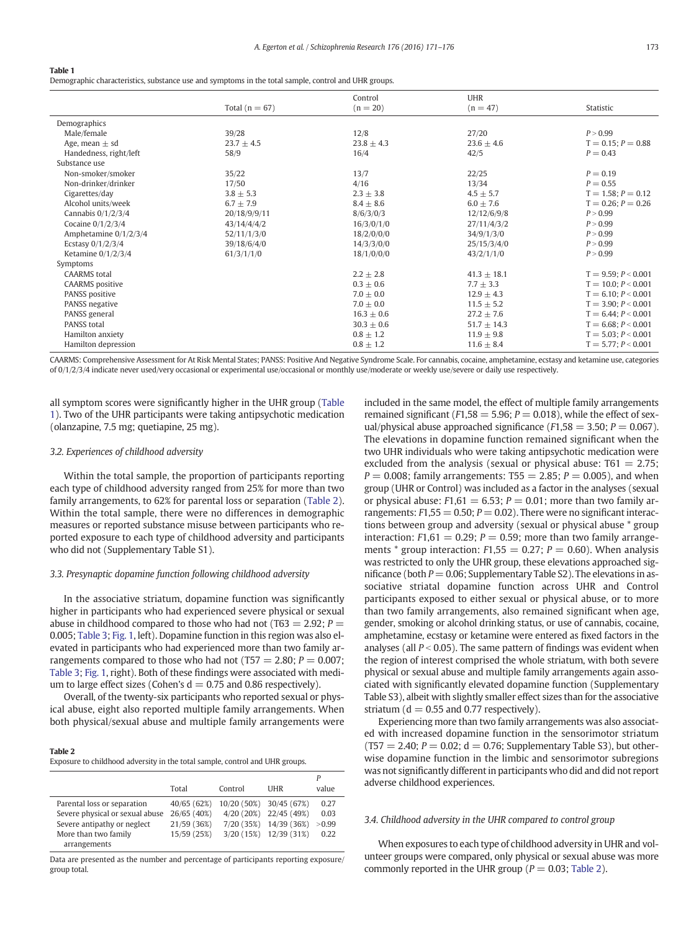<span id="page-2-0"></span>Demographic characteristics, substance use and symptoms in the total sample, control and UHR groups.

|                        |                    | Control        | <b>UHR</b>      |                          |
|------------------------|--------------------|----------------|-----------------|--------------------------|
|                        | Total ( $n = 67$ ) | $(n = 20)$     | $(n = 47)$      | Statistic                |
| Demographics           |                    |                |                 |                          |
| Male/female            | 39/28              | 12/8           | 27/20           | P > 0.99                 |
| Age, mean $\pm$ sd     | $23.7 + 4.5$       | $23.8 \pm 4.3$ | $23.6 \pm 4.6$  | $T = 0.15$ ; $P = 0.88$  |
| Handedness, right/left | 58/9               | 16/4           | 42/5            | $P = 0.43$               |
| Substance use          |                    |                |                 |                          |
| Non-smoker/smoker      | 35/22              | 13/7           | 22/25           | $P = 0.19$               |
| Non-drinker/drinker    | 17/50              | 4/16           | 13/34           | $P = 0.55$               |
| Cigarettes/day         | $3.8 \pm 5.3$      | $2.3 \pm 3.8$  | $4.5 \pm 5.7$   | $T = 1.58; P = 0.12$     |
| Alcohol units/week     | $6.7 \pm 7.9$      | $8.4 \pm 8.6$  | $6.0 \pm 7.6$   | $T = 0.26$ ; $P = 0.26$  |
| Cannabis $0/1/2/3/4$   | 20/18/9/9/11       | 8/6/3/0/3      | 12/12/6/9/8     | P > 0.99                 |
| Cocaine $0/1/2/3/4$    | 43/14/4/4/2        | 16/3/0/1/0     | 27/11/4/3/2     | P > 0.99                 |
| Amphetamine 0/1/2/3/4  | 52/11/1/3/0        | 18/2/0/0/0     | 34/9/1/3/0      | P > 0.99                 |
| Ecstasy $0/1/2/3/4$    | 39/18/6/4/0        | 14/3/3/0/0     | 25/15/3/4/0     | P > 0.99                 |
| Ketamine $0/1/2/3/4$   | 61/3/1/1/0         | 18/1/0/0/0     | 43/2/1/1/0      | P > 0.99                 |
| Symptoms               |                    |                |                 |                          |
| <b>CAARMS</b> total    |                    | $2.2 \pm 2.8$  | $41.3 \pm 18.1$ | $T = 9.59$ ; $P < 0.001$ |
| <b>CAARMS</b> positive |                    | $0.3 + 0.6$    | $7.7 \pm 3.3$   | $T = 10.0; P < 0.001$    |
| PANSS positive         |                    | $7.0 \pm 0.0$  | $12.9 \pm 4.3$  | $T = 6.10; P < 0.001$    |
| PANSS negative         |                    | $7.0\pm0.0$    | $11.5 \pm 5.2$  | $T = 3.90; P < 0.001$    |
| PANSS general          |                    | $16.3 \pm 0.6$ | $27.2 \pm 7.6$  | $T = 6.44$ ; $P < 0.001$ |
| <b>PANSS total</b>     |                    | $30.3 \pm 0.6$ | $51.7 \pm 14.3$ | $T = 6.68$ ; $P < 0.001$ |
| Hamilton anxiety       |                    | $0.8 \pm 1.2$  | $11.9 \pm 9.8$  | $T = 5.03; P < 0.001$    |
| Hamilton depression    |                    | $0.8 \pm 1.2$  | $11.6 \pm 8.4$  | $T = 5.77$ ; $P < 0.001$ |

CAARMS: Comprehensive Assessment for At Risk Mental States; PANSS: Positive And Negative Syndrome Scale. For cannabis, cocaine, amphetamine, ecstasy and ketamine use, categories of 0/1/2/3/4 indicate never used/very occasional or experimental use/occasional or monthly use/moderate or weekly use/severe or daily use respectively.

all symptom scores were significantly higher in the UHR group (Table 1). Two of the UHR participants were taking antipsychotic medication (olanzapine, 7.5 mg; quetiapine, 25 mg).

#### 3.2. Experiences of childhood adversity

Within the total sample, the proportion of participants reporting each type of childhood adversity ranged from 25% for more than two family arrangements, to 62% for parental loss or separation (Table 2). Within the total sample, there were no differences in demographic measures or reported substance misuse between participants who reported exposure to each type of childhood adversity and participants who did not (Supplementary Table S1).

# 3.3. Presynaptic dopamine function following childhood adversity

In the associative striatum, dopamine function was significantly higher in participants who had experienced severe physical or sexual abuse in childhood compared to those who had not (T63  $=$  2.92; P  $=$ 0.005; [Table 3](#page-3-0); [Fig. 1,](#page-3-0) left). Dopamine function in this region was also elevated in participants who had experienced more than two family arrangements compared to those who had not (T57 = 2.80;  $P = 0.007$ ; [Table 3;](#page-3-0) [Fig. 1](#page-3-0), right). Both of these findings were associated with medium to large effect sizes (Cohen's  $d = 0.75$  and 0.86 respectively).

Overall, of the twenty-six participants who reported sexual or physical abuse, eight also reported multiple family arrangements. When both physical/sexual abuse and multiple family arrangements were

# Table 2

Exposure to childhood adversity in the total sample, control and UHR groups.

|                                                                                                                                       | Total                                                    | Control                                            | <b>I JHR</b>                                             | value                          |
|---------------------------------------------------------------------------------------------------------------------------------------|----------------------------------------------------------|----------------------------------------------------|----------------------------------------------------------|--------------------------------|
| Parental loss or separation<br>Severe physical or sexual abuse<br>Severe antipathy or neglect<br>More than two family<br>arrangements | 40/65 (62%)<br>26/65 (40%)<br>21/59 (36%)<br>15/59 (25%) | 10/20 (50%)<br>4/20(20%)<br>7/20(35%)<br>3/20(15%) | 30/45 (67%)<br>22/45 (49%)<br>14/39 (36%)<br>12/39 (31%) | 0.27<br>0.03<br>> 0.99<br>0.22 |

Data are presented as the number and percentage of participants reporting exposure/ group total.

included in the same model, the effect of multiple family arrangements remained significant ( $F1,58 = 5.96; P = 0.018$ ), while the effect of sexual/physical abuse approached significance ( $F1,58 = 3.50$ ;  $P = 0.067$ ). The elevations in dopamine function remained significant when the two UHR individuals who were taking antipsychotic medication were excluded from the analysis (sexual or physical abuse:  $T61 = 2.75$ ;  $P = 0.008$ ; family arrangements: T55 = 2.85;  $P = 0.005$ ), and when group (UHR or Control) was included as a factor in the analyses (sexual or physical abuse:  $F1,61 = 6.53$ ;  $P = 0.01$ ; more than two family arrangements:  $F1,55 = 0.50$ ;  $P = 0.02$ ). There were no significant interactions between group and adversity (sexual or physical abuse \* group interaction:  $F1.61 = 0.29$ :  $P = 0.59$ : more than two family arrangements  $*$  group interaction:  $F1,55 = 0.27$ ;  $P = 0.60$ ). When analysis was restricted to only the UHR group, these elevations approached significance (both  $P = 0.06$ ; Supplementary Table S2). The elevations in associative striatal dopamine function across UHR and Control participants exposed to either sexual or physical abuse, or to more than two family arrangements, also remained significant when age, gender, smoking or alcohol drinking status, or use of cannabis, cocaine, amphetamine, ecstasy or ketamine were entered as fixed factors in the analyses (all  $P < 0.05$ ). The same pattern of findings was evident when the region of interest comprised the whole striatum, with both severe physical or sexual abuse and multiple family arrangements again associated with significantly elevated dopamine function (Supplementary Table S3), albeit with slightly smaller effect sizes than for the associative striatum ( $d = 0.55$  and 0.77 respectively).

Experiencing more than two family arrangements was also associated with increased dopamine function in the sensorimotor striatum  $(T57 = 2.40; P = 0.02; d = 0.76;$  Supplementary Table S3), but otherwise dopamine function in the limbic and sensorimotor subregions was not significantly different in participants who did and did not report adverse childhood experiences.

# 3.4. Childhood adversity in the UHR compared to control group

When exposures to each type of childhood adversity in UHR and volunteer groups were compared, only physical or sexual abuse was more commonly reported in the UHR group ( $P = 0.03$ ; Table 2).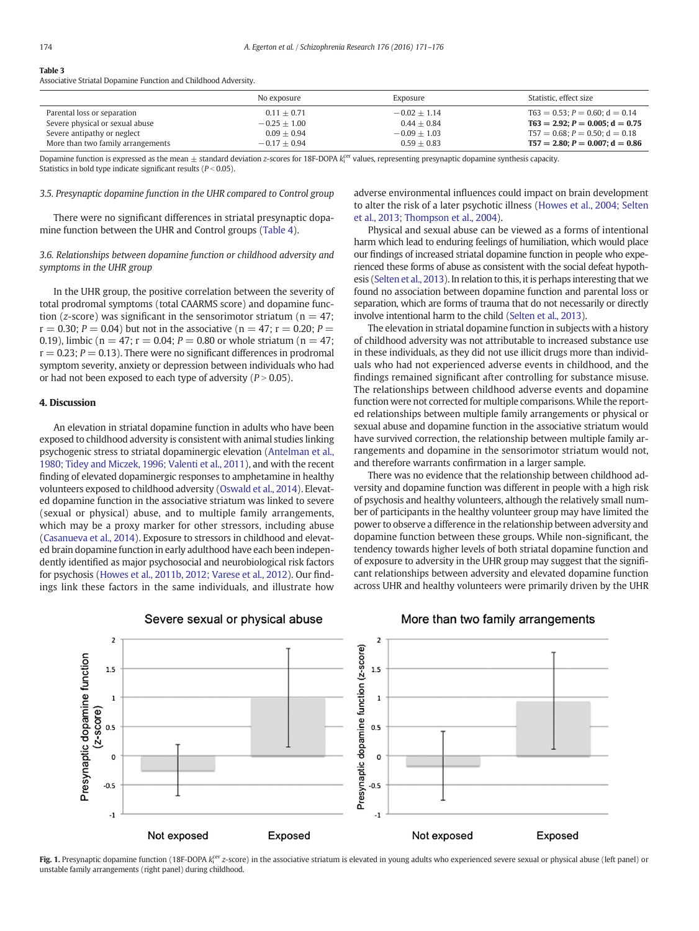#### <span id="page-3-0"></span>Table 3

Associative Striatal Dopamine Function and Childhood Adversity.

|                                   | No exposure    | Exposure       | Statistic, effect size                  |
|-----------------------------------|----------------|----------------|-----------------------------------------|
| Parental loss or separation       | $0.11 + 0.71$  | $-0.02 + 1.14$ | $T63 = 0.53$ : $P = 0.60$ : $d = 0.14$  |
| Severe physical or sexual abuse   | $-0.25 + 1.00$ | $0.44 + 0.84$  | $T63 = 2.92$ : $P = 0.005$ : $d = 0.75$ |
| Severe antipathy or neglect       | $0.09 + 0.94$  | $-0.09 + 1.03$ | $T57 = 0.68$ : $P = 0.50$ : $d = 0.18$  |
| More than two family arrangements | $-0.17 + 0.94$ | $0.59 + 0.83$  | $T57 = 2.80; P = 0.007; d = 0.86$       |

Dopamine function is expressed as the mean  $\pm$  standard deviation z-scores for 18F-DOPA  $k_{\rm i}^{\rm cer}$  values, representing presynaptic dopamine synthesis capacity. Statistics in bold type indicate significant results ( $P < 0.05$ ).

#### 3.5. Presynaptic dopamine function in the UHR compared to Control group

There were no significant differences in striatal presynaptic dopamine function between the UHR and Control groups [\(Table 4\)](#page-4-0).

# 3.6. Relationships between dopamine function or childhood adversity and symptoms in the UHR group

In the UHR group, the positive correlation between the severity of total prodromal symptoms (total CAARMS score) and dopamine function (z-score) was significant in the sensorimotor striatum ( $n = 47$ ;  $r = 0.30$ ;  $P = 0.04$ ) but not in the associative ( $n = 47$ ;  $r = 0.20$ ;  $P =$ 0.19), limbic ( $n = 47$ ;  $r = 0.04$ ;  $P = 0.80$  or whole striatum ( $n = 47$ ;  $r = 0.23$ ;  $P = 0.13$ ). There were no significant differences in prodromal symptom severity, anxiety or depression between individuals who had or had not been exposed to each type of adversity ( $P > 0.05$ ).

# 4. Discussion

An elevation in striatal dopamine function in adults who have been exposed to childhood adversity is consistent with animal studies linking psychogenic stress to striatal dopaminergic elevation ([Antelman et al.,](#page-4-0) [1980; Tidey and Miczek, 1996; Valenti et al., 2011\)](#page-4-0), and with the recent finding of elevated dopaminergic responses to amphetamine in healthy volunteers exposed to childhood adversity ([Oswald et al., 2014](#page-5-0)). Elevated dopamine function in the associative striatum was linked to severe (sexual or physical) abuse, and to multiple family arrangements, which may be a proxy marker for other stressors, including abuse [\(Casanueva et al., 2014\)](#page-4-0). Exposure to stressors in childhood and elevated brain dopamine function in early adulthood have each been independently identified as major psychosocial and neurobiological risk factors for psychosis [\(Howes et al., 2011b, 2012; Varese et al., 2012\)](#page-5-0). Our findings link these factors in the same individuals, and illustrate how

adverse environmental influences could impact on brain development to alter the risk of a later psychotic illness [\(Howes et al., 2004; Selten](#page-5-0) [et al., 2013; Thompson et al., 2004](#page-5-0)).

Physical and sexual abuse can be viewed as a forms of intentional harm which lead to enduring feelings of humiliation, which would place our findings of increased striatal dopamine function in people who experienced these forms of abuse as consistent with the social defeat hypothesis [\(Selten et al., 2013](#page-5-0)). In relation to this, it is perhaps interesting that we found no association between dopamine function and parental loss or separation, which are forms of trauma that do not necessarily or directly involve intentional harm to the child ([Selten et al., 2013](#page-5-0)).

The elevation in striatal dopamine function in subjects with a history of childhood adversity was not attributable to increased substance use in these individuals, as they did not use illicit drugs more than individuals who had not experienced adverse events in childhood, and the findings remained significant after controlling for substance misuse. The relationships between childhood adverse events and dopamine function were not corrected for multiple comparisons. While the reported relationships between multiple family arrangements or physical or sexual abuse and dopamine function in the associative striatum would have survived correction, the relationship between multiple family arrangements and dopamine in the sensorimotor striatum would not, and therefore warrants confirmation in a larger sample.

There was no evidence that the relationship between childhood adversity and dopamine function was different in people with a high risk of psychosis and healthy volunteers, although the relatively small number of participants in the healthy volunteer group may have limited the power to observe a difference in the relationship between adversity and dopamine function between these groups. While non-significant, the tendency towards higher levels of both striatal dopamine function and of exposure to adversity in the UHR group may suggest that the significant relationships between adversity and elevated dopamine function across UHR and healthy volunteers were primarily driven by the UHR



# Severe sexual or physical abuse

# More than two family arrangements

Fig. 1. Presynaptic dopamine function (18F-DOPA  $k_i^{\rm cer}$  z-score) in the associative striatum is elevated in young adults who experienced severe sexual or physical abuse (left panel) or unstable family arrangements (right panel) during childhood.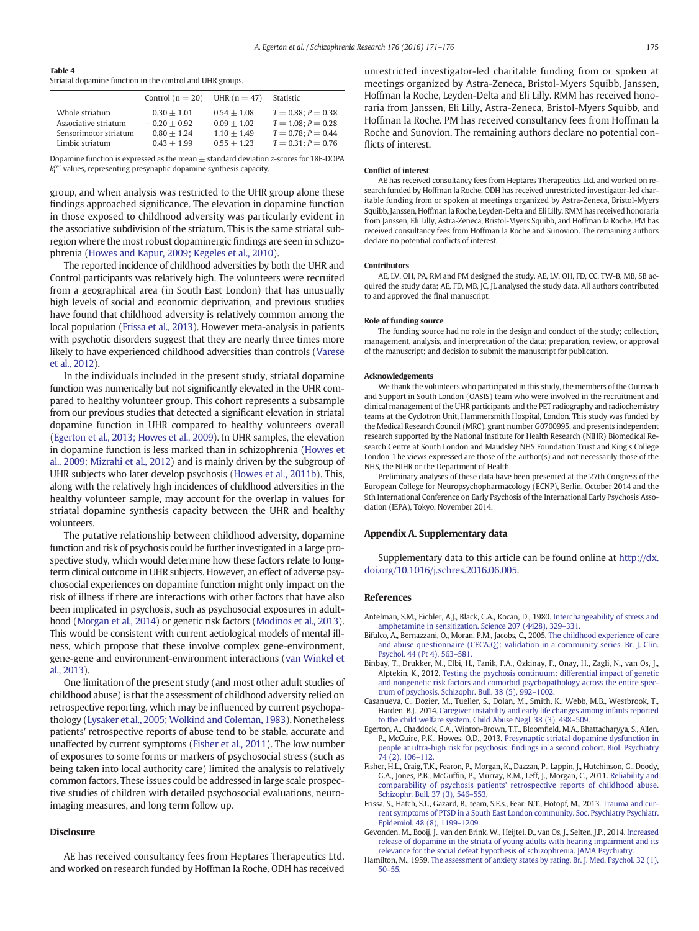<span id="page-4-0"></span>

Striatal dopamine function in the control and UHR groups.

|                                                                                    | Control $(n = 20)$                                                | UHR $(n = 47)$                                                   | Statistic                                                                                                |
|------------------------------------------------------------------------------------|-------------------------------------------------------------------|------------------------------------------------------------------|----------------------------------------------------------------------------------------------------------|
| Whole striatum<br>Associative striatum<br>Sensorimotor striatum<br>Limbic striatum | $0.30 + 1.01$<br>$-0.20 + 0.92$<br>$0.80 + 1.24$<br>$0.43 + 1.99$ | $0.54 + 1.08$<br>$0.09 + 1.02$<br>$1.10 + 1.49$<br>$0.55 + 1.23$ | $T = 0.88$ : $P = 0.38$<br>$T = 1.08$ : $P = 0.28$<br>$T = 0.78$ : $P = 0.44$<br>$T = 0.31$ ; $P = 0.76$ |

Dopamine function is expressed as the mean  $+$  standard deviation z-scores for 18F-DOPA k<sup>cer</sup> values, representing presynaptic dopamine synthesis capacity.

group, and when analysis was restricted to the UHR group alone these findings approached significance. The elevation in dopamine function in those exposed to childhood adversity was particularly evident in the associative subdivision of the striatum. This is the same striatal subregion where the most robust dopaminergic findings are seen in schizophrenia ([Howes and Kapur, 2009; Kegeles et al., 2010\)](#page-5-0).

The reported incidence of childhood adversities by both the UHR and Control participants was relatively high. The volunteers were recruited from a geographical area (in South East London) that has unusually high levels of social and economic deprivation, and previous studies have found that childhood adversity is relatively common among the local population (Frissa et al., 2013). However meta-analysis in patients with psychotic disorders suggest that they are nearly three times more likely to have experienced childhood adversities than controls ([Varese](#page-5-0) [et al., 2012](#page-5-0)).

In the individuals included in the present study, striatal dopamine function was numerically but not significantly elevated in the UHR compared to healthy volunteer group. This cohort represents a subsample from our previous studies that detected a significant elevation in striatal dopamine function in UHR compared to healthy volunteers overall (Egerton et al., 2013; Howes et al., 2009). In UHR samples, the elevation in dopamine function is less marked than in schizophrenia ([Howes et](#page-5-0) [al., 2009; Mizrahi et al., 2012](#page-5-0)) and is mainly driven by the subgroup of UHR subjects who later develop psychosis [\(Howes et al., 2011b\)](#page-5-0). This, along with the relatively high incidences of childhood adversities in the healthy volunteer sample, may account for the overlap in values for striatal dopamine synthesis capacity between the UHR and healthy volunteers.

The putative relationship between childhood adversity, dopamine function and risk of psychosis could be further investigated in a large prospective study, which would determine how these factors relate to longterm clinical outcome in UHR subjects. However, an effect of adverse psychosocial experiences on dopamine function might only impact on the risk of illness if there are interactions with other factors that have also been implicated in psychosis, such as psychosocial exposures in adulthood ([Morgan et al., 2014\)](#page-5-0) or genetic risk factors [\(Modinos et al., 2013](#page-5-0)). This would be consistent with current aetiological models of mental illness, which propose that these involve complex gene-environment, gene-gene and environment-environment interactions [\(van Winkel et](#page-5-0) [al., 2013](#page-5-0)).

One limitation of the present study (and most other adult studies of childhood abuse) is that the assessment of childhood adversity relied on retrospective reporting, which may be influenced by current psychopathology [\(Lysaker et al., 2005; Wolkind and Coleman, 1983](#page-5-0)). Nonetheless patients' retrospective reports of abuse tend to be stable, accurate and unaffected by current symptoms (Fisher et al., 2011). The low number of exposures to some forms or markers of psychosocial stress (such as being taken into local authority care) limited the analysis to relatively common factors. These issues could be addressed in large scale prospective studies of children with detailed psychosocial evaluations, neuroimaging measures, and long term follow up.

# **Disclosure**

AE has received consultancy fees from Heptares Therapeutics Ltd. and worked on research funded by Hoffman la Roche. ODH has received unrestricted investigator-led charitable funding from or spoken at meetings organized by Astra-Zeneca, Bristol-Myers Squibb, Janssen, Hoffman la Roche, Leyden-Delta and Eli Lilly. RMM has received honoraria from Janssen, Eli Lilly, Astra-Zeneca, Bristol-Myers Squibb, and Hoffman la Roche. PM has received consultancy fees from Hoffman la Roche and Sunovion. The remaining authors declare no potential conflicts of interest.

#### Conflict of interest

AE has received consultancy fees from Heptares Therapeutics Ltd. and worked on research funded by Hoffman la Roche. ODH has received unrestricted investigator-led charitable funding from or spoken at meetings organized by Astra-Zeneca, Bristol-Myers Squibb, Janssen, Hoffman la Roche, Leyden-Delta and Eli Lilly. RMM has received honoraria from Janssen, Eli Lilly, Astra-Zeneca, Bristol-Myers Squibb, and Hoffman la Roche. PM has received consultancy fees from Hoffman la Roche and Sunovion. The remaining authors declare no potential conflicts of interest.

#### Contributors

AE, LV, OH, PA, RM and PM designed the study. AE, LV, OH, FD, CC, TW-B, MB, SB acquired the study data; AE, FD, MB, JC, JL analysed the study data. All authors contributed to and approved the final manuscript.

#### Role of funding source

The funding source had no role in the design and conduct of the study; collection, management, analysis, and interpretation of the data; preparation, review, or approval of the manuscript; and decision to submit the manuscript for publication.

#### Acknowledgements

We thank the volunteers who participated in this study, the members of the Outreach and Support in South London (OASIS) team who were involved in the recruitment and clinical management of the UHR participants and the PET radiography and radiochemistry teams at the Cyclotron Unit, Hammersmith Hospital, London. This study was funded by the Medical Research Council (MRC), grant number G0700995, and presents independent research supported by the National Institute for Health Research (NIHR) Biomedical Research Centre at South London and Maudsley NHS Foundation Trust and King's College London. The views expressed are those of the author(s) and not necessarily those of the NHS, the NIHR or the Department of Health.

Preliminary analyses of these data have been presented at the 27th Congress of the European College for Neuropsychopharmacology (ECNP), Berlin, October 2014 and the 9th International Conference on Early Psychosis of the International Early Psychosis Association (IEPA), Tokyo, November 2014.

#### Appendix A. Supplementary data

Supplementary data to this article can be found online at [http://dx.](doi:10.1016/j.schres.2016.06.005) [doi.org/10.1016/j.schres.2016.06.005.](doi:10.1016/j.schres.2016.06.005)

# References

- Antelman, S.M., Eichler, A.J., Black, C.A., Kocan, D., 1980. [Interchangeability of stress and](http://refhub.elsevier.com/S0920-9964(16)30272-9/rf0005) [amphetamine in sensitization. Science 207 \(4428\), 329](http://refhub.elsevier.com/S0920-9964(16)30272-9/rf0005)–331.
- Bifulco, A., Bernazzani, O., Moran, P.M., Jacobs, C., 2005. [The childhood experience of care](http://refhub.elsevier.com/S0920-9964(16)30272-9/rf0010) [and abuse questionnaire \(CECA.Q\): validation in a community series. Br. J. Clin.](http://refhub.elsevier.com/S0920-9964(16)30272-9/rf0010) [Psychol. 44 \(Pt 4\), 563](http://refhub.elsevier.com/S0920-9964(16)30272-9/rf0010)–581.
- Binbay, T., Drukker, M., Elbi, H., Tanik, F.A., Ozkinay, F., Onay, H., Zagli, N., van Os, J., Alptekin, K., 2012. [Testing the psychosis continuum: differential impact of genetic](http://refhub.elsevier.com/S0920-9964(16)30272-9/rf0015) [and nongenetic risk factors and comorbid psychopathology across the entire spec](http://refhub.elsevier.com/S0920-9964(16)30272-9/rf0015)[trum of psychosis. Schizophr. Bull. 38 \(5\), 992](http://refhub.elsevier.com/S0920-9964(16)30272-9/rf0015)–1002.
- Casanueva, C., Dozier, M., Tueller, S., Dolan, M., Smith, K., Webb, M.B., Westbrook, T., Harden, B.J., 2014. [Caregiver instability and early life changes among infants reported](http://refhub.elsevier.com/S0920-9964(16)30272-9/rf0020) [to the child welfare system. Child Abuse Negl. 38 \(3\), 498](http://refhub.elsevier.com/S0920-9964(16)30272-9/rf0020)–509.
- Egerton, A., Chaddock, C.A., Winton-Brown, T.T., Bloomfield, M.A., Bhattacharyya, S., Allen, P., McGuire, P.K., Howes, O.D., 2013. [Presynaptic striatal dopamine dysfunction in](http://refhub.elsevier.com/S0920-9964(16)30272-9/rf0025) people at ultra-high risk for psychosis: fi[ndings in a second cohort. Biol. Psychiatry](http://refhub.elsevier.com/S0920-9964(16)30272-9/rf0025) [74 \(2\), 106](http://refhub.elsevier.com/S0920-9964(16)30272-9/rf0025)–112.
- Fisher, H.L., Craig, T.K., Fearon, P., Morgan, K., Dazzan, P., Lappin, J., Hutchinson, G., Doody, G.A., Jones, P.B., McGuffin, P., Murray, R.M., Leff, J., Morgan, C., 2011. [Reliability and](http://refhub.elsevier.com/S0920-9964(16)30272-9/rf0030) [comparability of psychosis patients' retrospective reports of childhood abuse.](http://refhub.elsevier.com/S0920-9964(16)30272-9/rf0030) [Schizophr. Bull. 37 \(3\), 546](http://refhub.elsevier.com/S0920-9964(16)30272-9/rf0030)–553.
- Frissa, S., Hatch, S.L., Gazard, B., team, S.E.s., Fear, N.T., Hotopf, M., 2013. [Trauma and cur](http://refhub.elsevier.com/S0920-9964(16)30272-9/rf0035)[rent symptoms of PTSD in a South East London community. Soc. Psychiatry Psychiatr.](http://refhub.elsevier.com/S0920-9964(16)30272-9/rf0035) [Epidemiol. 48 \(8\), 1199](http://refhub.elsevier.com/S0920-9964(16)30272-9/rf0035)–1209.
- Gevonden, M., Booij, J., van den Brink, W., Heijtel, D., van Os, J., Selten, J.P., 2014. [Increased](http://refhub.elsevier.com/S0920-9964(16)30272-9/rf0040) [release of dopamine in the striata of young adults with hearing impairment and its](http://refhub.elsevier.com/S0920-9964(16)30272-9/rf0040) [relevance for the social defeat hypothesis of schizophrenia. JAMA Psychiatry](http://refhub.elsevier.com/S0920-9964(16)30272-9/rf0040).
- Hamilton, M., 1959. [The assessment of anxiety states by rating. Br. J. Med. Psychol. 32 \(1\),](http://refhub.elsevier.com/S0920-9964(16)30272-9/rf0045) [50](http://refhub.elsevier.com/S0920-9964(16)30272-9/rf0045)–55.